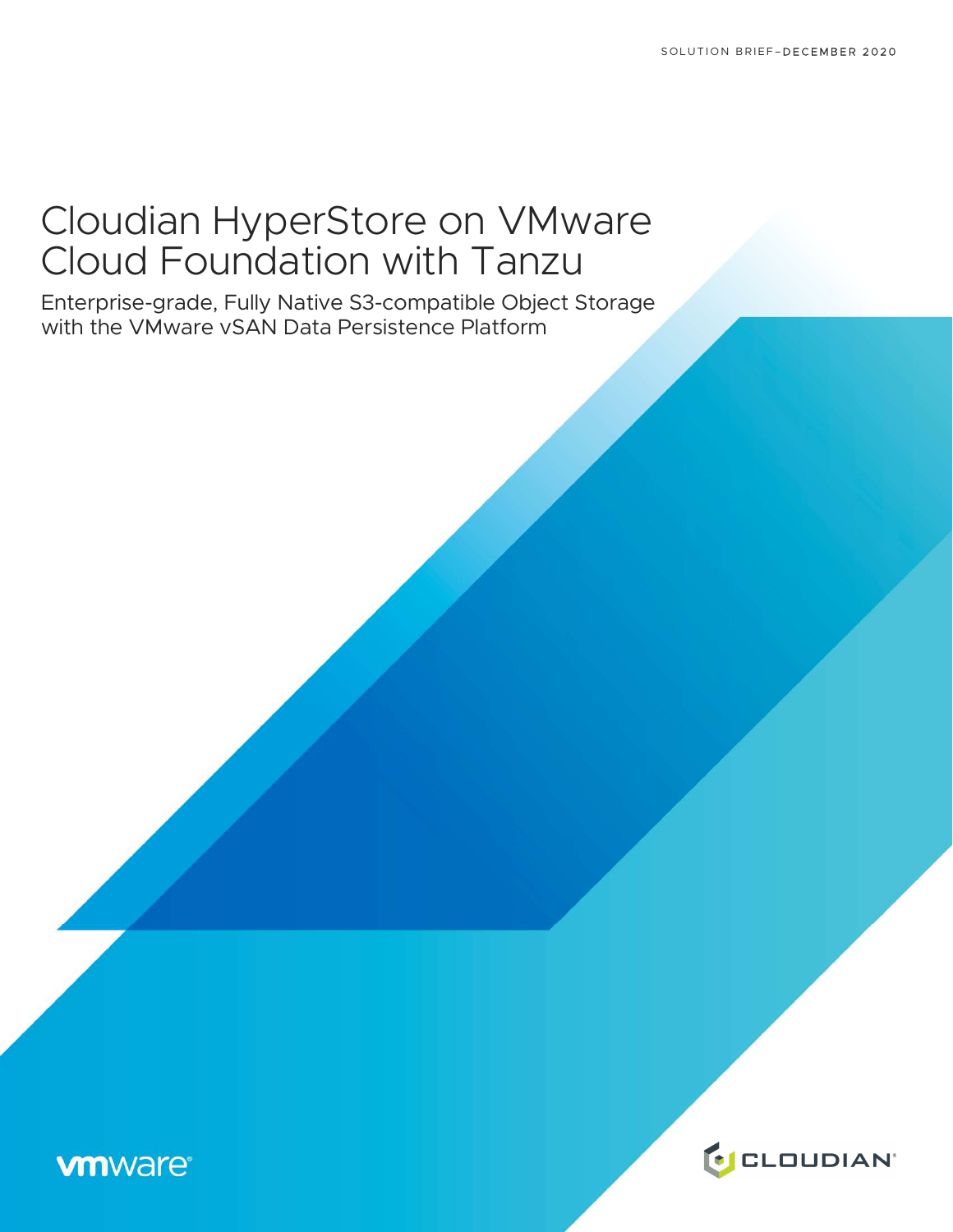# Cloudian HyperStore on VMware Cloud Foundation with Tanzu

Enterprise-grade, Fully Native S3-compatible Object Storage with the VMware vSAN Data Persistence Platform

# **vm**ware<sup>®</sup>

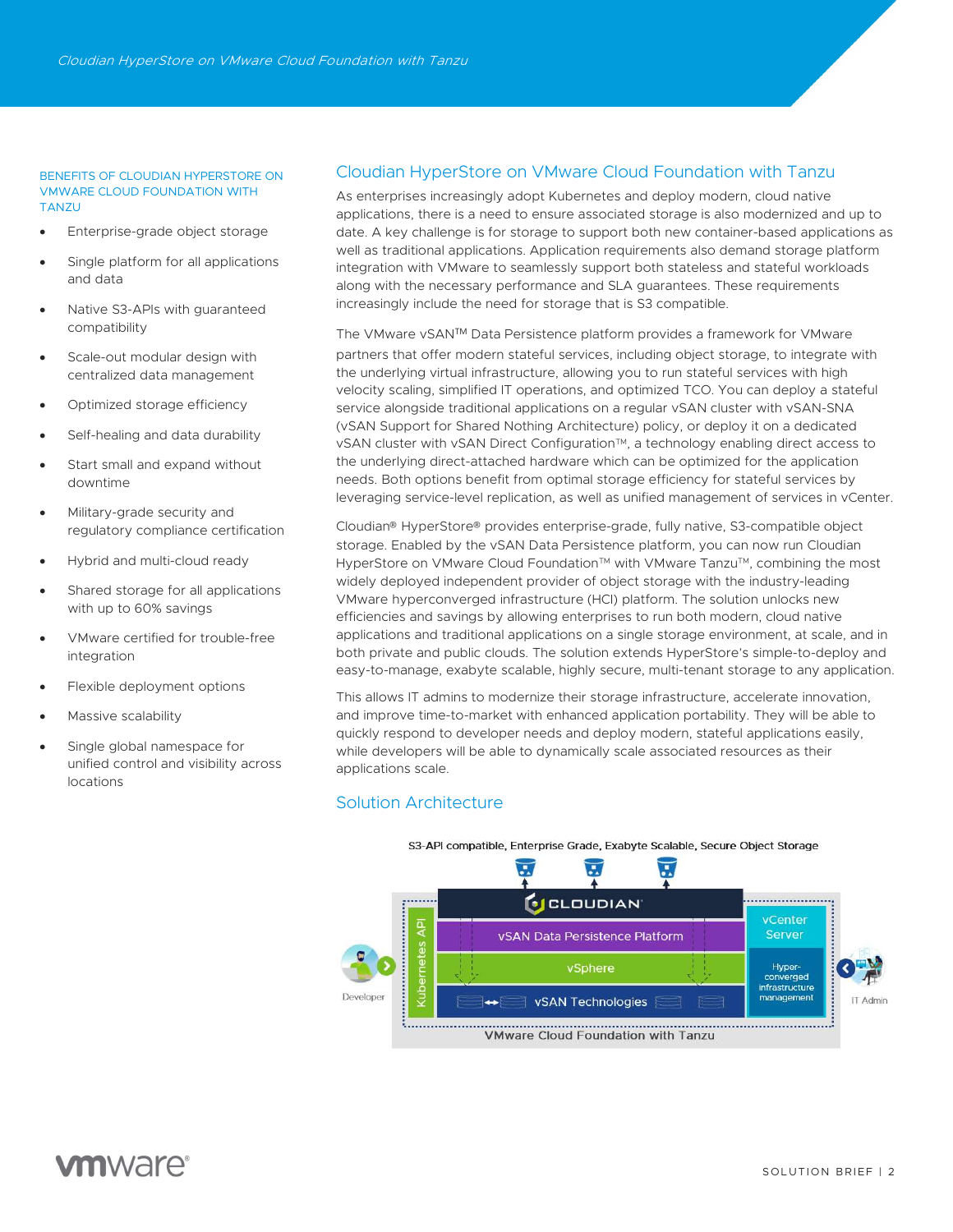#### BENEFITS OF CLOUDIAN HYPERSTORE ON VMWARE CLOUD FOUNDATION WITH **TANZU**

- Enterprise-grade object storage
- Single platform for all applications and data
- Native S3-APIs with guaranteed compatibility
- Scale-out modular design with centralized data management
- Optimized storage efficiency
- Self-healing and data durability
- Start small and expand without downtime
- Military-grade security and regulatory compliance certification
- Hybrid and multi-cloud ready
- Shared storage for all applications with up to 60% savings
- VMware certified for trouble-free integration
- Flexible deployment options
- Massive scalability
- Single global namespace for unified control and visibility across locations

# Cloudian HyperStore on VMware Cloud Foundation with Tanzu

As enterprises increasingly adopt Kubernetes and deploy modern, cloud native applications, there is a need to ensure associated storage is also modernized and up to date. A key challenge is for storage to support both new container-based applications as well as traditional applications. Application requirements also demand storage platform integration with VMware to seamlessly support both stateless and stateful workloads along with the necessary performance and SLA guarantees. These requirements increasingly include the need for storage that is S3 compatible.

The VMware vSANTM Data Persistence platform provides a framework for VMware partners that offer modern stateful services, including object storage, to integrate with the underlying virtual infrastructure, allowing you to run stateful services with high velocity scaling, simplified IT operations, and optimized TCO. You can deploy a stateful service alongside traditional applications on a regular vSAN cluster with vSAN-SNA (vSAN Support for Shared Nothing Architecture) policy, or deploy it on a dedicated vSAN cluster with vSAN Direct Configuration<sup>TM</sup>, a technology enabling direct access to the underlying direct-attached hardware which can be optimized for the application needs. Both options benefit from optimal storage efficiency for stateful services by leveraging service-level replication, as well as unified management of services in vCenter.

Cloudian® HyperStore® provides enterprise-grade, fully native, S3-compatible object storage. Enabled by the vSAN Data Persistence platform, you can now run Cloudian HyperStore on VMware Cloud Foundation™ with VMware Tanzu™, combining the most widely deployed independent provider of object storage with the industry-leading VMware hyperconverged infrastructure (HCI) platform. The solution unlocks new efficiencies and savings by allowing enterprises to run both modern, cloud native applications and traditional applications on a single storage environment, at scale, and in both private and public clouds. The solution extends HyperStore's simple-to-deploy and easy-to-manage, exabyte scalable, highly secure, multi-tenant storage to any application.

This allows IT admins to modernize their storage infrastructure, accelerate innovation, and improve time-to-market with enhanced application portability. They will be able to quickly respond to developer needs and deploy modern, stateful applications easily, while developers will be able to dynamically scale associated resources as their applications scale.

# Solution Architecture



S3-API compatible, Enterprise Grade, Exabyte Scalable, Secure Object Storage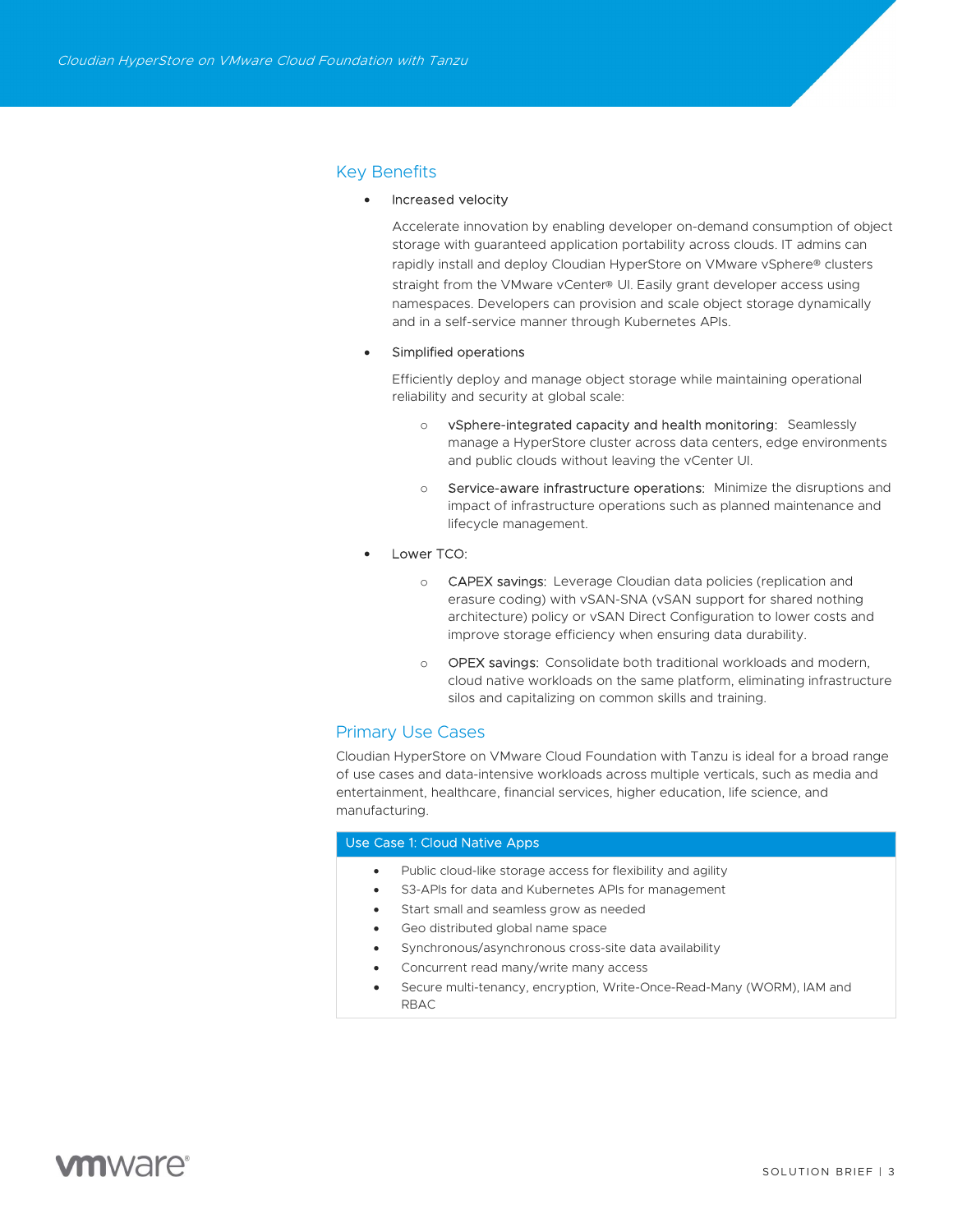# Key Benefits

#### Increased velocity

Accelerate innovation by enabling developer on-demand consumption of object storage with guaranteed application portability across clouds. IT admins can rapidly install and deploy Cloudian HyperStore on VMware vSphere® clusters straight from the VMware vCenter® UI. Easily grant developer access using namespaces. Developers can provision and scale object storage dynamically and in a self-service manner through Kubernetes APIs.

#### Simplified operations

Efficiently deploy and manage object storage while maintaining operational reliability and security at global scale:

- o vSphere-integrated capacity and health monitoring: Seamlessly manage a HyperStore cluster across data centers, edge environments and public clouds without leaving the vCenter UI.
- Service-aware infrastructure operations: Minimize the disruptions and impact of infrastructure operations such as planned maintenance and lifecycle management.
- Lower TCO:
	- o CAPEX savings: Leverage Cloudian data policies (replication and erasure coding) with vSAN-SNA (vSAN support for shared nothing architecture) policy or vSAN Direct Configuration to lower costs and improve storage efficiency when ensuring data durability.
	- o OPEX savings: Consolidate both traditional workloads and modern, cloud native workloads on the same platform, eliminating infrastructure silos and capitalizing on common skills and training.

# Primary Use Cases

Cloudian HyperStore on VMware Cloud Foundation with Tanzu is ideal for a broad range of use cases and data-intensive workloads across multiple verticals, such as media and entertainment, healthcare, financial services, higher education, life science, and manufacturing.

# Use Case 1: Cloud Native Apps

- Public cloud-like storage access for flexibility and agility
- S3-APIs for data and Kubernetes APIs for management
- Start small and seamless grow as needed
- Geo distributed global name space
- Synchronous/asynchronous cross-site data availability
- Concurrent read many/write many access
- Secure multi-tenancy, encryption, Write-Once-Read-Many (WORM), IAM and RBAC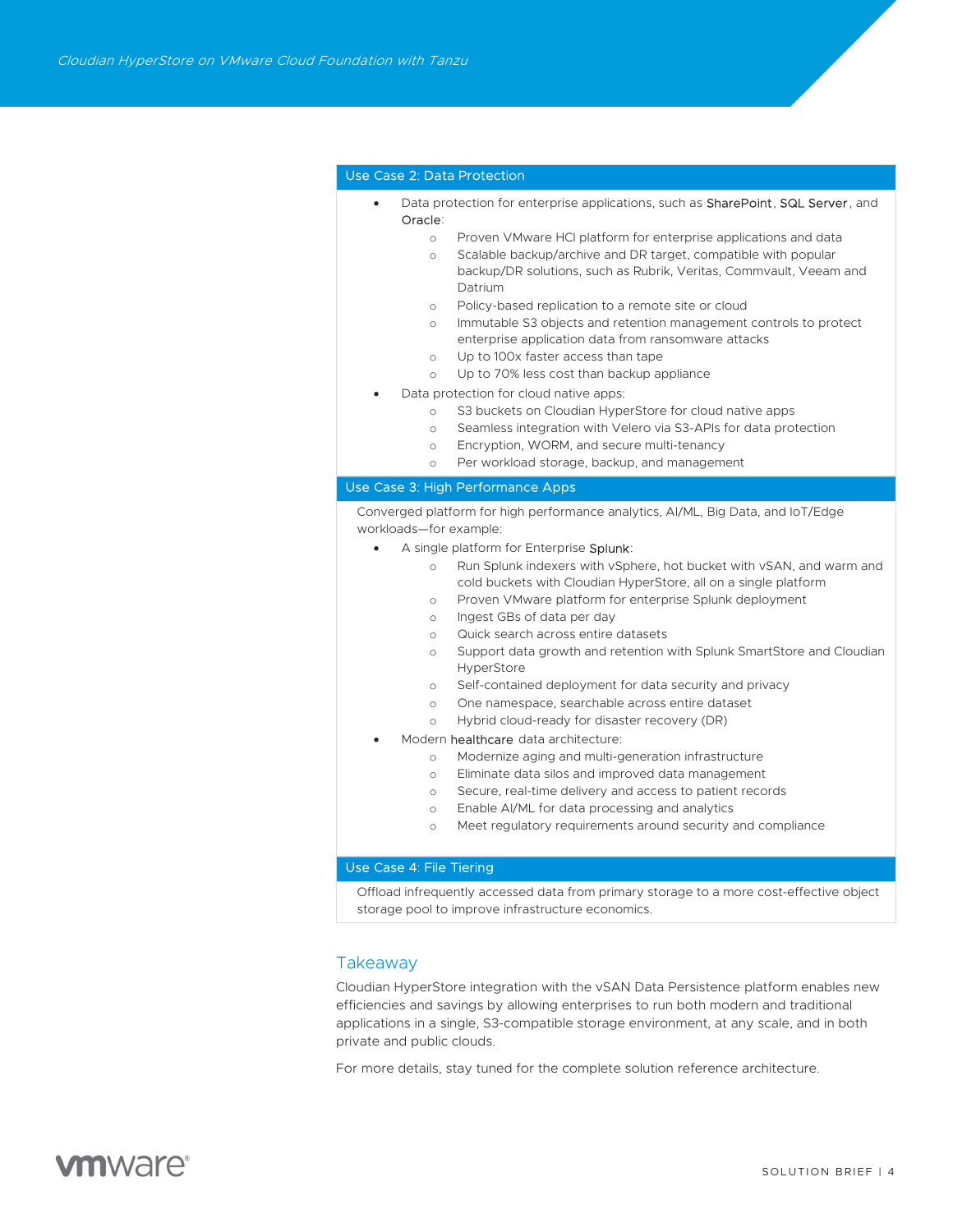# Use Case 2: Data Protection

- Data protection for enterprise applications, such as SharePoint, SQL Server, and Oracle:
	- o Proven VMware HCI platform for enterprise applications and data
		- o Scalable backup/archive and DR target, compatible with popular backup/DR solutions, such as Rubrik, Veritas, Commvault, Veeam and Datrium
	- o Policy-based replication to a remote site or cloud
	- o Immutable S3 objects and retention management controls to protect enterprise application data from ransomware attacks
	- o Up to 100x faster access than tape
	- o Up to 70% less cost than backup appliance
- Data protection for cloud native apps:
	- o S3 buckets on Cloudian HyperStore for cloud native apps
	- o Seamless integration with Velero via S3-APIs for data protection
	- o Encryption, WORM, and secure multi-tenancy
	- o Per workload storage, backup, and management

## Use Case 3: High Performance Apps

Converged platform for high performance analytics, AI/ML, Big Data, and IoT/Edge workloads—for example:

- A single platform for Enterprise Splunk:
	- o Run Splunk indexers with vSphere, hot bucket with vSAN, and warm and cold buckets with Cloudian HyperStore, all on a single platform
	- o Proven VMware platform for enterprise Splunk deployment
	- o Ingest GBs of data per day
	- o Quick search across entire datasets
	- o Support data growth and retention with Splunk SmartStore and Cloudian HyperStore
	- o Self-contained deployment for data security and privacy
	- o One namespace, searchable across entire dataset
	- o Hybrid cloud-ready for disaster recovery (DR)
- Modern **healthcare** data architecture:
	- o Modernize aging and multi-generation infrastructure
	- o Eliminate data silos and improved data management
	- o Secure, real-time delivery and access to patient records
	- o Enable AI/ML for data processing and analytics
	- o Meet regulatory requirements around security and compliance

# Use Case 4: File Tiering

Offload infrequently accessed data from primary storage to a more cost-effective object storage pool to improve infrastructure economics.

# Takeaway

Cloudian HyperStore integration with the vSAN Data Persistence platform enables new efficiencies and savings by allowing enterprises to run both modern and traditional applications in a single, S3-compatible storage environment, at any scale, and in both private and public clouds.

For more details, stay tuned for the complete solution reference architecture.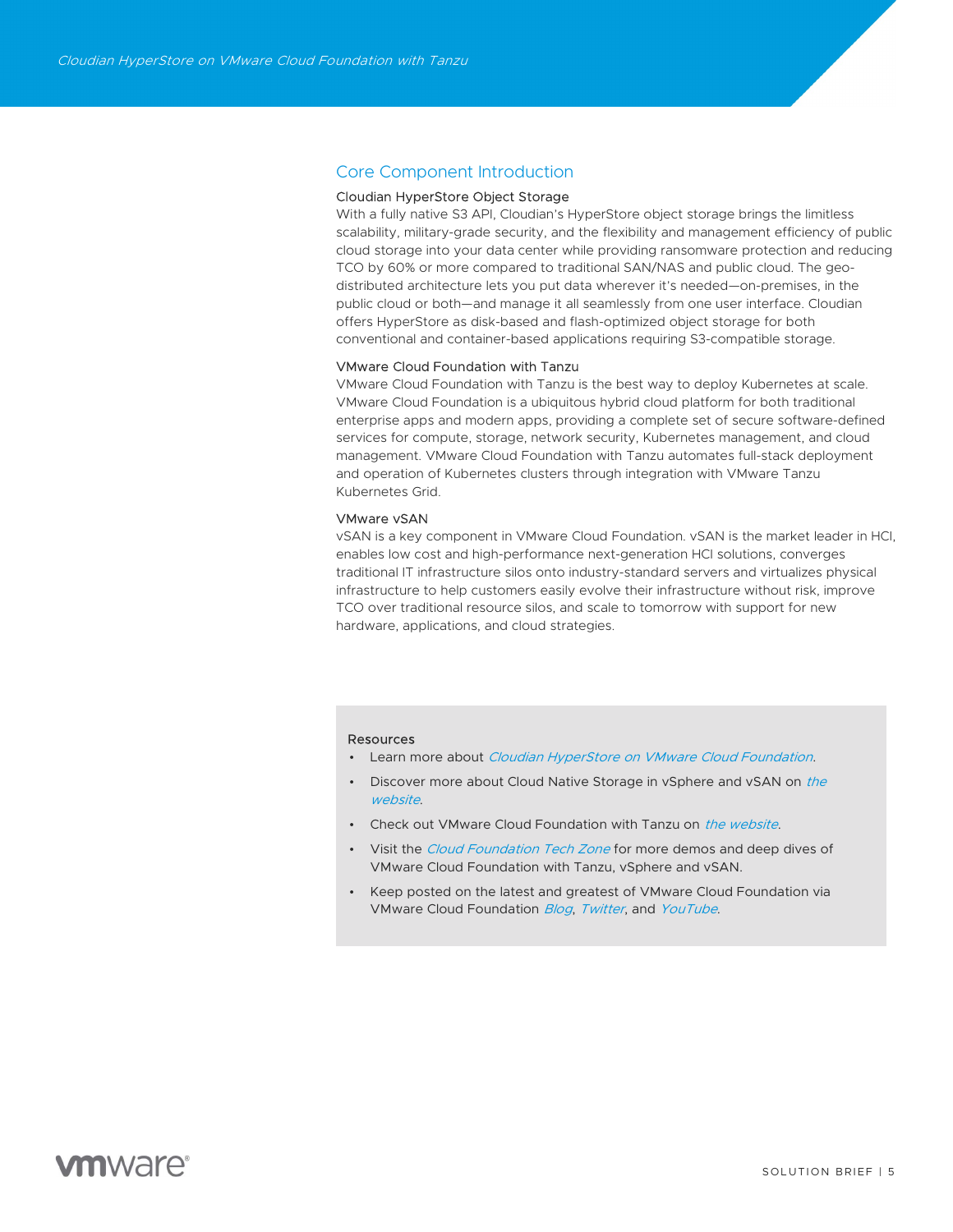# Core Component Introduction

# Cloudian HyperStore Object Storage

With a fully native S3 API, Cloudian's HyperStore object storage brings the limitless scalability, military-grade security, and the flexibility and management efficiency of public cloud storage into your data center while providing ransomware protection and reducing TCO by 60% or more compared to traditional SAN/NAS and public cloud. The geodistributed architecture lets you put data wherever it's needed—on-premises, in the public cloud or both—and manage it all seamlessly from one user interface. Cloudian offers HyperStore as disk-based and flash-optimized object storage for both conventional and container-based applications requiring S3-compatible storage.

#### VMware Cloud Foundation with Tanzu

VMware Cloud Foundation with Tanzu is the best way to deploy Kubernetes at scale. VMware Cloud Foundation is a ubiquitous hybrid cloud platform for both traditional enterprise apps and modern apps, providing a complete set of secure software-defined services for compute, storage, network security, Kubernetes management, and cloud management. VMware Cloud Foundation with Tanzu automates full-stack deployment and operation of Kubernetes clusters through integration with VMware Tanzu Kubernetes Grid.

# VMware vSAN

vSAN is a key component in VMware Cloud Foundation. vSAN is the market leader in HCI, enables low cost and high-performance next-generation HCI solutions, converges traditional IT infrastructure silos onto industry-standard servers and virtualizes physical infrastructure to help customers easily evolve their infrastructure without risk, improve TCO over traditional resource silos, and scale to tomorrow with support for new hardware, applications, and cloud strategies.

#### Resources

- Learn more about *Cloudian HyperStore on VMware Cloud Foundation*.
- Discover more about Cloud Native Storage in vSphere and vSAN on the website.
- Check out VMware Cloud Foundation with Tanzu on the website.
- Visit the *Cloud Foundation Tech Zone* for more demos and deep dives of VMware Cloud Foundation with Tanzu, vSphere and vSAN.
- Keep posted on the latest and greatest of VMware Cloud Foundation via VMware Cloud Foundation Blog, Twitter, and YouTube.